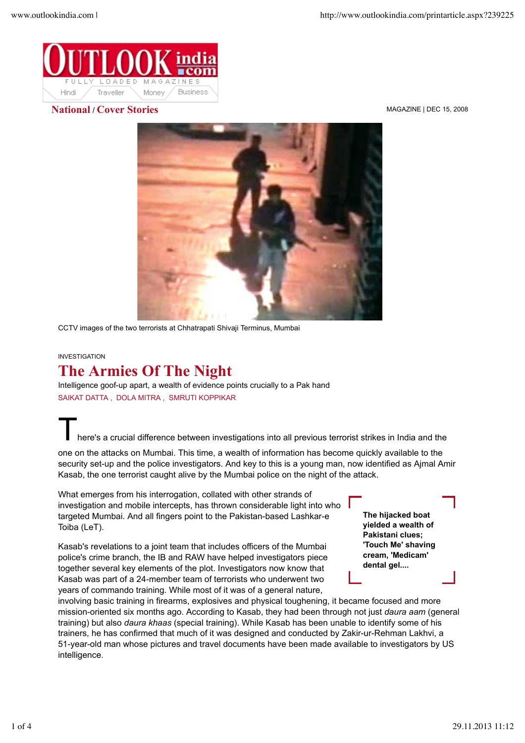

**National** / **Cover Stories** MAGAZINE | DEC 15, 2008



CCTV images of the two terrorists at Chhatrapati Shivaji Terminus, Mumbai

## INVESTIGATION

## **The Armies Of The Night**

Intelligence goof-up apart, a wealth of evidence points crucially to a Pak hand SAIKAT DATTA , DOLA MITRA , SMRUTI KOPPIKAR

here's a crucial difference between investigations into all previous terrorist strikes in India and the

one on the attacks on Mumbai. This time, a wealth of information has become quickly available to the security set-up and the police investigators. And key to this is a young man, now identified as Ajmal Amir Kasab, the one terrorist caught alive by the Mumbai police on the night of the attack.

What emerges from his interrogation, collated with other strands of investigation and mobile intercepts, has thrown considerable light into who targeted Mumbai. And all fingers point to the Pakistan-based Lashkar-e Toiba (LeT).

Kasab's revelations to a joint team that includes officers of the Mumbai police's crime branch, the IB and RAW have helped investigators piece together several key elements of the plot. Investigators now know that Kasab was part of a 24-member team of terrorists who underwent two years of commando training. While most of it was of a general nature,

**The hijacked boat yielded a wealth of Pakistani clues; 'Touch Me' shaving cream, 'Medicam' dental gel....**

involving basic training in firearms, explosives and physical toughening, it became focused and more mission-oriented six months ago. According to Kasab, they had been through not just *daura aam* (general training) but also *daura khaas* (special training). While Kasab has been unable to identify some of his trainers, he has confirmed that much of it was designed and conducted by Zakir-ur-Rehman Lakhvi, a 51-year-old man whose pictures and travel documents have been made available to investigators by US intelligence.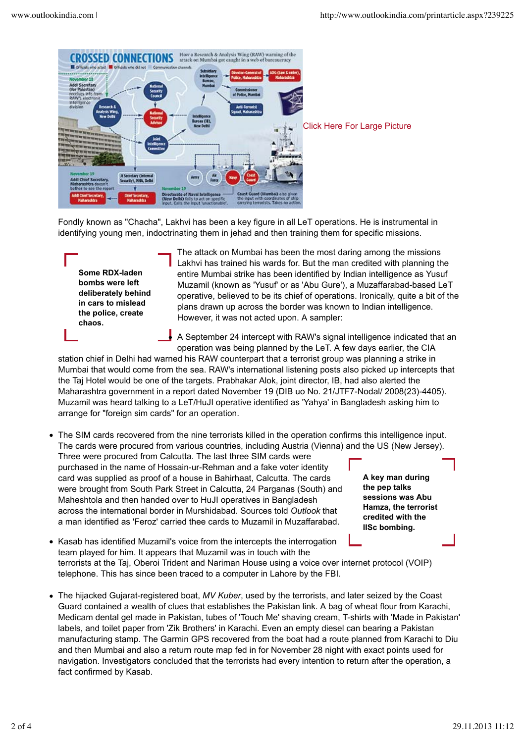

Fondly known as "Chacha", Lakhvi has been a key figure in all LeT operations. He is instrumental in identifying young men, indoctrinating them in jehad and then training them for specific missions.

**Some RDX-laden bombs were left deliberately behind in cars to mislead the police, create chaos.**

The attack on Mumbai has been the most daring among the missions Lakhvi has trained his wards for. But the man credited with planning the entire Mumbai strike has been identified by Indian intelligence as Yusuf Muzamil (known as 'Yusuf' or as 'Abu Gure'), a Muzaffarabad-based LeT operative, believed to be its chief of operations. Ironically, quite a bit of the plans drawn up across the border was known to Indian intelligence. However, it was not acted upon. A sampler:

A September 24 intercept with RAW's signal intelligence indicated that an operation was being planned by the LeT. A few days earlier, the CIA

station chief in Delhi had warned his RAW counterpart that a terrorist group was planning a strike in Mumbai that would come from the sea. RAW's international listening posts also picked up intercepts that the Taj Hotel would be one of the targets. Prabhakar Alok, joint director, IB, had also alerted the Maharashtra government in a report dated November 19 (DIB uo No. 21/JTF7-Nodal/ 2008(23)-4405). Muzamil was heard talking to a LeT/HuJI operative identified as 'Yahya' in Bangladesh asking him to arrange for "foreign sim cards" for an operation.

- **A key man during the pep talks sessions was Abu Hamza, the terrorist credited with the** The SIM cards recovered from the nine terrorists killed in the operation confirms this intelligence input. The cards were procured from various countries, including Austria (Vienna) and the US (New Jersey). Three were procured from Calcutta. The last three SIM cards were purchased in the name of Hossain-ur-Rehman and a fake voter identity card was supplied as proof of a house in Bahirhaat, Calcutta. The cards were brought from South Park Street in Calcutta, 24 Parganas (South) and Maheshtola and then handed over to HuJI operatives in Bangladesh across the international border in Murshidabad. Sources told *Outlook* that a man identified as 'Feroz' carried thee cards to Muzamil in Muzaffarabad.
	- **IISc bombing.**
- Kasab has identified Muzamil's voice from the intercepts the interrogation team played for him. It appears that Muzamil was in touch with the terrorists at the Taj, Oberoi Trident and Nariman House using a voice over internet protocol (VOIP) telephone. This has since been traced to a computer in Lahore by the FBI.
- The hijacked Gujarat-registered boat, *MV Kuber*, used by the terrorists, and later seized by the Coast Guard contained a wealth of clues that establishes the Pakistan link. A bag of wheat flour from Karachi, Medicam dental gel made in Pakistan, tubes of 'Touch Me' shaving cream, T-shirts with 'Made in Pakistan' labels, and toilet paper from 'Zik Brothers' in Karachi. Even an empty diesel can bearing a Pakistan manufacturing stamp. The Garmin GPS recovered from the boat had a route planned from Karachi to Diu and then Mumbai and also a return route map fed in for November 28 night with exact points used for navigation. Investigators concluded that the terrorists had every intention to return after the operation, a fact confirmed by Kasab.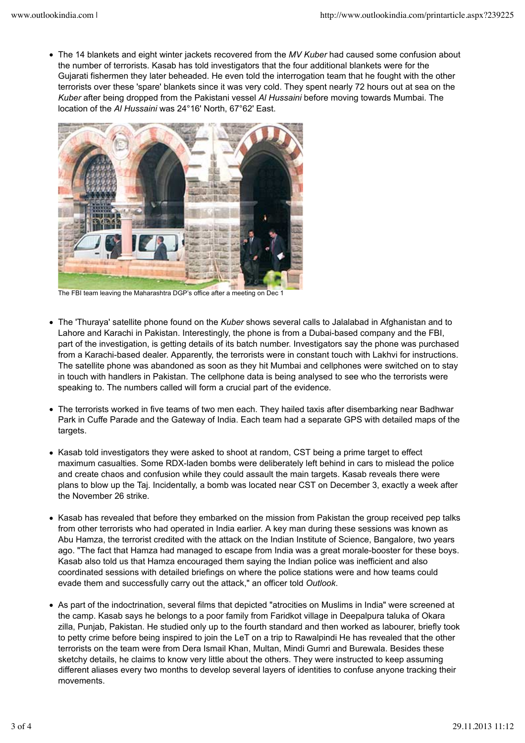The 14 blankets and eight winter jackets recovered from the *MV Kuber* had caused some confusion about the number of terrorists. Kasab has told investigators that the four additional blankets were for the Gujarati fishermen they later beheaded. He even told the interrogation team that he fought with the other terrorists over these 'spare' blankets since it was very cold. They spent nearly 72 hours out at sea on the *Kuber* after being dropped from the Pakistani vessel *Al Hussaini* before moving towards Mumbai. The location of the *Al Hussaini* was 24°16' North, 67°62' East.



The FBI team leaving the Maharashtra DGP's office after a meeting on Dec 1

- The 'Thuraya' satellite phone found on the *Kuber* shows several calls to Jalalabad in Afghanistan and to Lahore and Karachi in Pakistan. Interestingly, the phone is from a Dubai-based company and the FBI, part of the investigation, is getting details of its batch number. Investigators say the phone was purchased from a Karachi-based dealer. Apparently, the terrorists were in constant touch with Lakhvi for instructions. The satellite phone was abandoned as soon as they hit Mumbai and cellphones were switched on to stay in touch with handlers in Pakistan. The cellphone data is being analysed to see who the terrorists were speaking to. The numbers called will form a crucial part of the evidence.
- The terrorists worked in five teams of two men each. They hailed taxis after disembarking near Badhwar Park in Cuffe Parade and the Gateway of India. Each team had a separate GPS with detailed maps of the targets.
- Kasab told investigators they were asked to shoot at random, CST being a prime target to effect maximum casualties. Some RDX-laden bombs were deliberately left behind in cars to mislead the police and create chaos and confusion while they could assault the main targets. Kasab reveals there were plans to blow up the Taj. Incidentally, a bomb was located near CST on December 3, exactly a week after the November 26 strike.
- Kasab has revealed that before they embarked on the mission from Pakistan the group received pep talks from other terrorists who had operated in India earlier. A key man during these sessions was known as Abu Hamza, the terrorist credited with the attack on the Indian Institute of Science, Bangalore, two years ago. "The fact that Hamza had managed to escape from India was a great morale-booster for these boys. Kasab also told us that Hamza encouraged them saying the Indian police was inefficient and also coordinated sessions with detailed briefings on where the police stations were and how teams could evade them and successfully carry out the attack," an officer told *Outlook*.
- As part of the indoctrination, several films that depicted "atrocities on Muslims in India" were screened at the camp. Kasab says he belongs to a poor family from Faridkot village in Deepalpura taluka of Okara zilla, Punjab, Pakistan. He studied only up to the fourth standard and then worked as labourer, briefly took to petty crime before being inspired to join the LeT on a trip to Rawalpindi He has revealed that the other terrorists on the team were from Dera Ismail Khan, Multan, Mindi Gumri and Burewala. Besides these sketchy details, he claims to know very little about the others. They were instructed to keep assuming different aliases every two months to develop several layers of identities to confuse anyone tracking their movements.